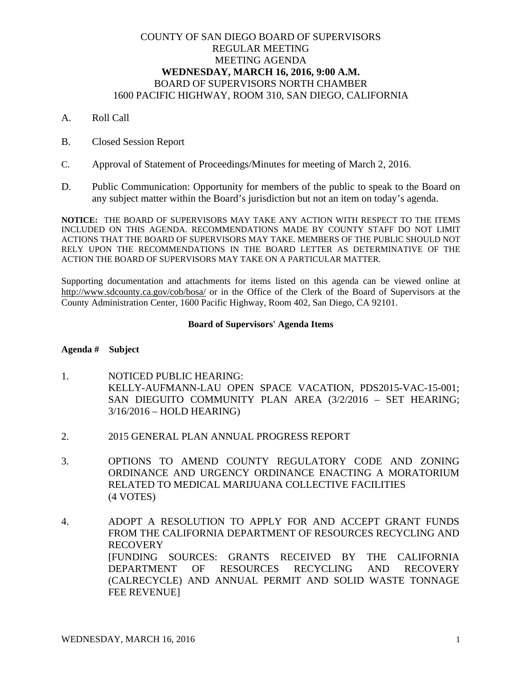# COUNTY OF SAN DIEGO BOARD OF SUPERVISORS REGULAR MEETING MEETING AGENDA **WEDNESDAY, MARCH 16, 2016, 9:00 A.M.** BOARD OF SUPERVISORS NORTH CHAMBER 1600 PACIFIC HIGHWAY, ROOM 310, SAN DIEGO, CALIFORNIA

- A. Roll Call
- B. Closed Session Report
- C. Approval of Statement of Proceedings/Minutes for meeting of March 2, 2016.
- D. Public Communication: Opportunity for members of the public to speak to the Board on any subject matter within the Board's jurisdiction but not an item on today's agenda.

**NOTICE:** THE BOARD OF SUPERVISORS MAY TAKE ANY ACTION WITH RESPECT TO THE ITEMS INCLUDED ON THIS AGENDA. RECOMMENDATIONS MADE BY COUNTY STAFF DO NOT LIMIT ACTIONS THAT THE BOARD OF SUPERVISORS MAY TAKE. MEMBERS OF THE PUBLIC SHOULD NOT RELY UPON THE RECOMMENDATIONS IN THE BOARD LETTER AS DETERMINATIVE OF THE ACTION THE BOARD OF SUPERVISORS MAY TAKE ON A PARTICULAR MATTER.

Supporting documentation and attachments for items listed on this agenda can be viewed online at http://www.sdcounty.ca.gov/cob/bosa/ or in the Office of the Clerk of the Board of Supervisors at the County Administration Center, 1600 Pacific Highway, Room 402, San Diego, CA 92101.

### **Board of Supervisors' Agenda Items**

## **Agenda # Subject**

- 1. NOTICED PUBLIC HEARING: KELLY-AUFMANN-LAU OPEN SPACE VACATION, PDS2015-VAC-15-001; SAN DIEGUITO COMMUNITY PLAN AREA (3/2/2016 – SET HEARING; 3/16/2016 – HOLD HEARING)
- 2. 2015 GENERAL PLAN ANNUAL PROGRESS REPORT
- 3. OPTIONS TO AMEND COUNTY REGULATORY CODE AND ZONING ORDINANCE AND URGENCY ORDINANCE ENACTING A MORATORIUM RELATED TO MEDICAL MARIJUANA COLLECTIVE FACILITIES (4 VOTES)
- 4. ADOPT A RESOLUTION TO APPLY FOR AND ACCEPT GRANT FUNDS FROM THE CALIFORNIA DEPARTMENT OF RESOURCES RECYCLING AND RECOVERY [FUNDING SOURCES: GRANTS RECEIVED BY THE CALIFORNIA DEPARTMENT OF RESOURCES RECYCLING AND RECOVERY (CALRECYCLE) AND ANNUAL PERMIT AND SOLID WASTE TONNAGE FEE REVENUE]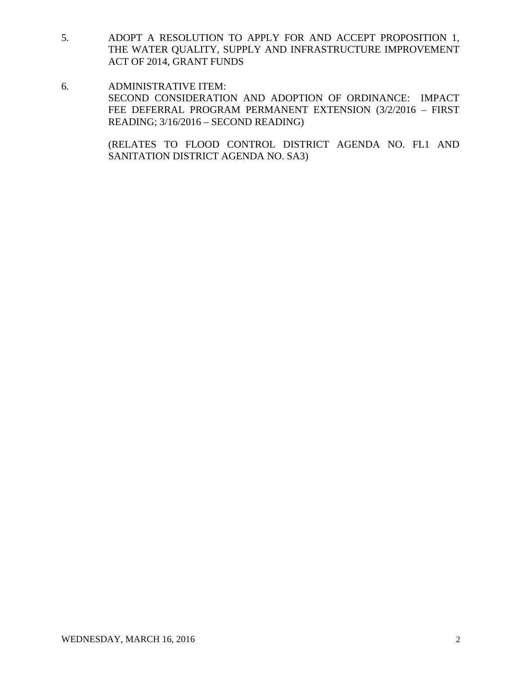- 5. ADOPT A RESOLUTION TO APPLY FOR AND ACCEPT PROPOSITION 1, THE WATER QUALITY, SUPPLY AND INFRASTRUCTURE IMPROVEMENT ACT OF 2014, GRANT FUNDS
- 6. ADMINISTRATIVE ITEM: SECOND CONSIDERATION AND ADOPTION OF ORDINANCE: IMPACT FEE DEFERRAL PROGRAM PERMANENT EXTENSION (3/2/2016 – FIRST READING; 3/16/2016 – SECOND READING)

(RELATES TO FLOOD CONTROL DISTRICT AGENDA NO. FL1 AND SANITATION DISTRICT AGENDA NO. SA3)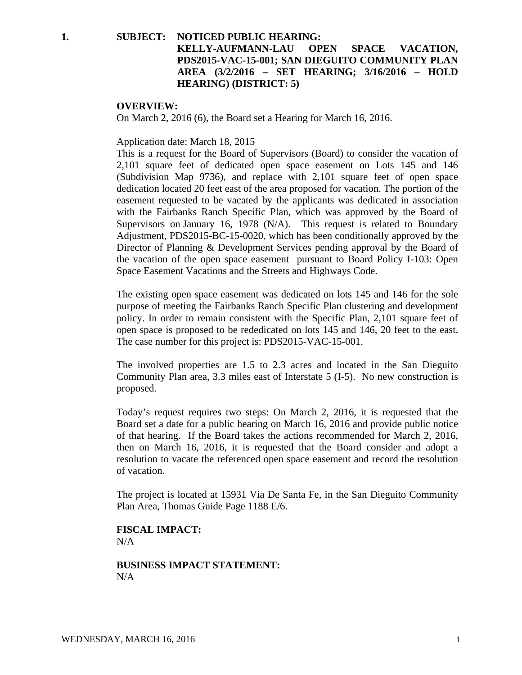## **1. SUBJECT: NOTICED PUBLIC HEARING:**

# **KELLY-AUFMANN-LAU OPEN SPACE VACATION, PDS2015-VAC-15-001; SAN DIEGUITO COMMUNITY PLAN AREA (3/2/2016 – SET HEARING; 3/16/2016 – HOLD HEARING) (DISTRICT: 5)**

#### **OVERVIEW:**

On March 2, 2016 (6), the Board set a Hearing for March 16, 2016.

#### Application date: March 18, 2015

This is a request for the Board of Supervisors (Board) to consider the vacation of 2,101 square feet of dedicated open space easement on Lots 145 and 146 (Subdivision Map 9736), and replace with 2,101 square feet of open space dedication located 20 feet east of the area proposed for vacation. The portion of the easement requested to be vacated by the applicants was dedicated in association with the Fairbanks Ranch Specific Plan, which was approved by the Board of Supervisors on January 16, 1978 (N/A). This request is related to Boundary Adjustment, PDS2015-BC-15-0020, which has been conditionally approved by the Director of Planning & Development Services pending approval by the Board of the vacation of the open space easement pursuant to Board Policy I-103: Open Space Easement Vacations and the Streets and Highways Code.

The existing open space easement was dedicated on lots 145 and 146 for the sole purpose of meeting the Fairbanks Ranch Specific Plan clustering and development policy. In order to remain consistent with the Specific Plan, 2,101 square feet of open space is proposed to be rededicated on lots 145 and 146, 20 feet to the east. The case number for this project is: PDS2015-VAC-15-001.

The involved properties are 1.5 to 2.3 acres and located in the San Dieguito Community Plan area, 3.3 miles east of Interstate 5 (I-5). No new construction is proposed.

Today's request requires two steps: On March 2, 2016, it is requested that the Board set a date for a public hearing on March 16, 2016 and provide public notice of that hearing. If the Board takes the actions recommended for March 2, 2016, then on March 16, 2016, it is requested that the Board consider and adopt a resolution to vacate the referenced open space easement and record the resolution of vacation.

The project is located at 15931 Via De Santa Fe, in the San Dieguito Community Plan Area, Thomas Guide Page 1188 E/6.

**FISCAL IMPACT:**  $N/A$ 

**BUSINESS IMPACT STATEMENT:** N/A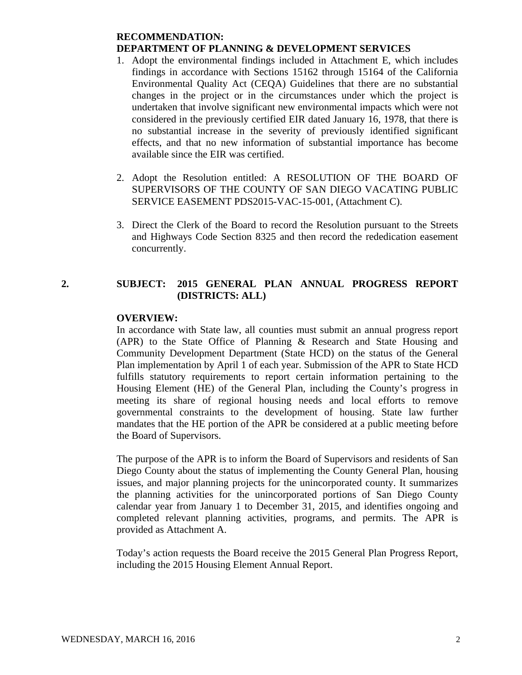## **RECOMMENDATION: DEPARTMENT OF PLANNING & DEVELOPMENT SERVICES**

- 1. Adopt the environmental findings included in Attachment E, which includes findings in accordance with Sections 15162 through 15164 of the California Environmental Quality Act (CEQA) Guidelines that there are no substantial changes in the project or in the circumstances under which the project is undertaken that involve significant new environmental impacts which were not considered in the previously certified EIR dated January 16, 1978, that there is no substantial increase in the severity of previously identified significant effects, and that no new information of substantial importance has become available since the EIR was certified.
- 2. Adopt the Resolution entitled: A RESOLUTION OF THE BOARD OF SUPERVISORS OF THE COUNTY OF SAN DIEGO VACATING PUBLIC SERVICE EASEMENT PDS2015-VAC-15-001, (Attachment C).
- 3. Direct the Clerk of the Board to record the Resolution pursuant to the Streets and Highways Code Section 8325 and then record the rededication easement concurrently.

# **2. SUBJECT: 2015 GENERAL PLAN ANNUAL PROGRESS REPORT (DISTRICTS: ALL)**

# **OVERVIEW:**

In accordance with State law, all counties must submit an annual progress report (APR) to the State Office of Planning & Research and State Housing and Community Development Department (State HCD) on the status of the General Plan implementation by April 1 of each year. Submission of the APR to State HCD fulfills statutory requirements to report certain information pertaining to the Housing Element (HE) of the General Plan, including the County's progress in meeting its share of regional housing needs and local efforts to remove governmental constraints to the development of housing. State law further mandates that the HE portion of the APR be considered at a public meeting before the Board of Supervisors.

The purpose of the APR is to inform the Board of Supervisors and residents of San Diego County about the status of implementing the County General Plan, housing issues, and major planning projects for the unincorporated county. It summarizes the planning activities for the unincorporated portions of San Diego County calendar year from January 1 to December 31, 2015, and identifies ongoing and completed relevant planning activities, programs, and permits. The APR is provided as Attachment A.

Today's action requests the Board receive the 2015 General Plan Progress Report, including the 2015 Housing Element Annual Report.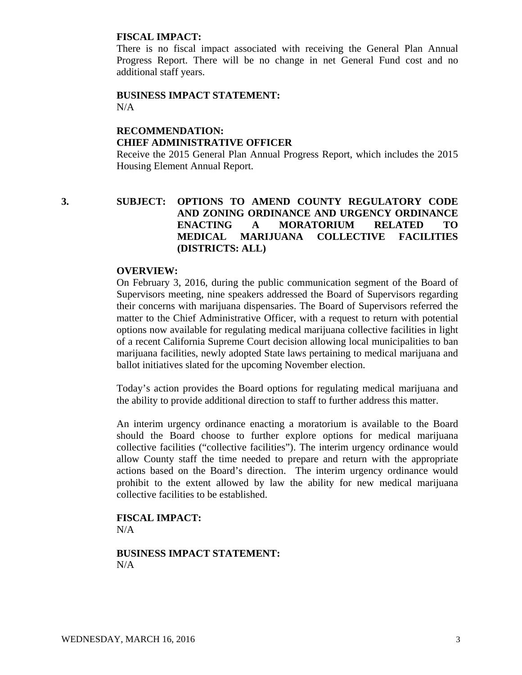### **FISCAL IMPACT:**

There is no fiscal impact associated with receiving the General Plan Annual Progress Report. There will be no change in net General Fund cost and no additional staff years.

## **BUSINESS IMPACT STATEMENT:** N/A

# **RECOMMENDATION: CHIEF ADMINISTRATIVE OFFICER**

Receive the 2015 General Plan Annual Progress Report, which includes the 2015 Housing Element Annual Report.

# **3. SUBJECT: OPTIONS TO AMEND COUNTY REGULATORY CODE AND ZONING ORDINANCE AND URGENCY ORDINANCE ENACTING A MORATORIUM RELATED TO MEDICAL MARIJUANA COLLECTIVE FACILITIES (DISTRICTS: ALL)**

## **OVERVIEW:**

On February 3, 2016, during the public communication segment of the Board of Supervisors meeting, nine speakers addressed the Board of Supervisors regarding their concerns with marijuana dispensaries. The Board of Supervisors referred the matter to the Chief Administrative Officer, with a request to return with potential options now available for regulating medical marijuana collective facilities in light of a recent California Supreme Court decision allowing local municipalities to ban marijuana facilities, newly adopted State laws pertaining to medical marijuana and ballot initiatives slated for the upcoming November election.

Today's action provides the Board options for regulating medical marijuana and the ability to provide additional direction to staff to further address this matter.

An interim urgency ordinance enacting a moratorium is available to the Board should the Board choose to further explore options for medical marijuana collective facilities ("collective facilities"). The interim urgency ordinance would allow County staff the time needed to prepare and return with the appropriate actions based on the Board's direction. The interim urgency ordinance would prohibit to the extent allowed by law the ability for new medical marijuana collective facilities to be established.

## **FISCAL IMPACT:** N/A

**BUSINESS IMPACT STATEMENT:**  $N/A$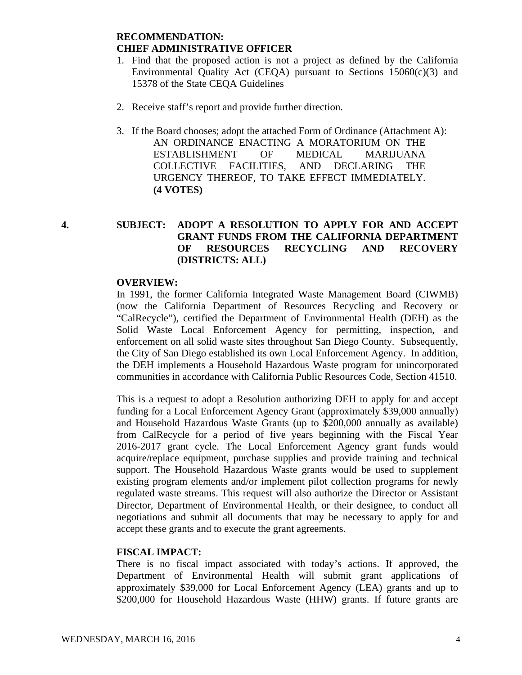# **RECOMMENDATION: CHIEF ADMINISTRATIVE OFFICER**

- 1. Find that the proposed action is not a project as defined by the California Environmental Quality Act (CEQA) pursuant to Sections  $15060(c)(3)$  and 15378 of the State CEQA Guidelines
- 2. Receive staff's report and provide further direction.
- 3. If the Board chooses; adopt the attached Form of Ordinance (Attachment A): AN ORDINANCE ENACTING A MORATORIUM ON THE ESTABLISHMENT OF MEDICAL MARIJUANA COLLECTIVE FACILITIES, AND DECLARING THE URGENCY THEREOF, TO TAKE EFFECT IMMEDIATELY. **(4 VOTES)**

# **4. SUBJECT: ADOPT A RESOLUTION TO APPLY FOR AND ACCEPT GRANT FUNDS FROM THE CALIFORNIA DEPARTMENT OF RESOURCES RECYCLING AND RECOVERY (DISTRICTS: ALL)**

## **OVERVIEW:**

In 1991, the former California Integrated Waste Management Board (CIWMB) (now the California Department of Resources Recycling and Recovery or "CalRecycle"), certified the Department of Environmental Health (DEH) as the Solid Waste Local Enforcement Agency for permitting, inspection, and enforcement on all solid waste sites throughout San Diego County. Subsequently, the City of San Diego established its own Local Enforcement Agency. In addition, the DEH implements a Household Hazardous Waste program for unincorporated communities in accordance with California Public Resources Code, Section 41510.

This is a request to adopt a Resolution authorizing DEH to apply for and accept funding for a Local Enforcement Agency Grant (approximately \$39,000 annually) and Household Hazardous Waste Grants (up to \$200,000 annually as available) from CalRecycle for a period of five years beginning with the Fiscal Year 2016-2017 grant cycle. The Local Enforcement Agency grant funds would acquire/replace equipment, purchase supplies and provide training and technical support. The Household Hazardous Waste grants would be used to supplement existing program elements and/or implement pilot collection programs for newly regulated waste streams. This request will also authorize the Director or Assistant Director, Department of Environmental Health, or their designee, to conduct all negotiations and submit all documents that may be necessary to apply for and accept these grants and to execute the grant agreements.

## **FISCAL IMPACT:**

There is no fiscal impact associated with today's actions. If approved, the Department of Environmental Health will submit grant applications of approximately \$39,000 for Local Enforcement Agency (LEA) grants and up to \$200,000 for Household Hazardous Waste (HHW) grants. If future grants are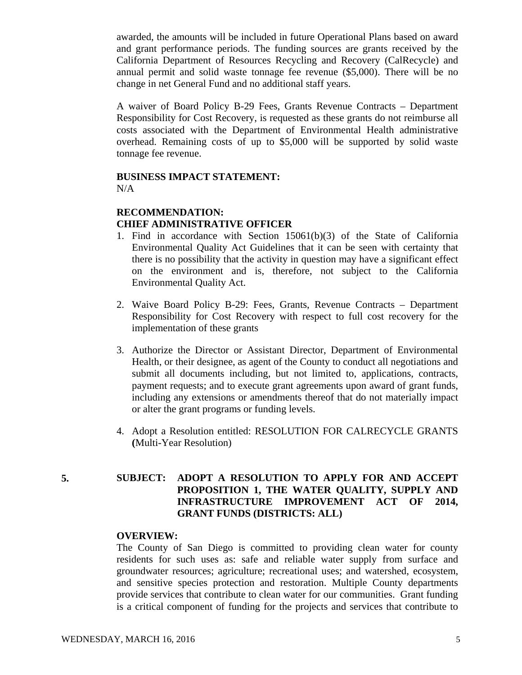awarded, the amounts will be included in future Operational Plans based on award and grant performance periods. The funding sources are grants received by the California Department of Resources Recycling and Recovery (CalRecycle) and annual permit and solid waste tonnage fee revenue (\$5,000). There will be no change in net General Fund and no additional staff years.

A waiver of Board Policy B-29 Fees, Grants Revenue Contracts – Department Responsibility for Cost Recovery, is requested as these grants do not reimburse all costs associated with the Department of Environmental Health administrative overhead. Remaining costs of up to \$5,000 will be supported by solid waste tonnage fee revenue.

#### **BUSINESS IMPACT STATEMENT:**  $N/A$

# **RECOMMENDATION:**

## **CHIEF ADMINISTRATIVE OFFICER**

- 1. Find in accordance with Section 15061(b)(3) of the State of California Environmental Quality Act Guidelines that it can be seen with certainty that there is no possibility that the activity in question may have a significant effect on the environment and is, therefore, not subject to the California Environmental Quality Act.
- 2. Waive Board Policy B-29: Fees, Grants, Revenue Contracts Department Responsibility for Cost Recovery with respect to full cost recovery for the implementation of these grants
- 3. Authorize the Director or Assistant Director, Department of Environmental Health, or their designee, as agent of the County to conduct all negotiations and submit all documents including, but not limited to, applications, contracts, payment requests; and to execute grant agreements upon award of grant funds, including any extensions or amendments thereof that do not materially impact or alter the grant programs or funding levels.
- 4. Adopt a Resolution entitled: RESOLUTION FOR CALRECYCLE GRANTS **(**Multi-Year Resolution)

# **5. SUBJECT: ADOPT A RESOLUTION TO APPLY FOR AND ACCEPT PROPOSITION 1, THE WATER QUALITY, SUPPLY AND INFRASTRUCTURE IMPROVEMENT ACT OF 2014, GRANT FUNDS (DISTRICTS: ALL)**

## **OVERVIEW:**

The County of San Diego is committed to providing clean water for county residents for such uses as: safe and reliable water supply from surface and groundwater resources; agriculture; recreational uses; and watershed, ecosystem, and sensitive species protection and restoration. Multiple County departments provide services that contribute to clean water for our communities. Grant funding is a critical component of funding for the projects and services that contribute to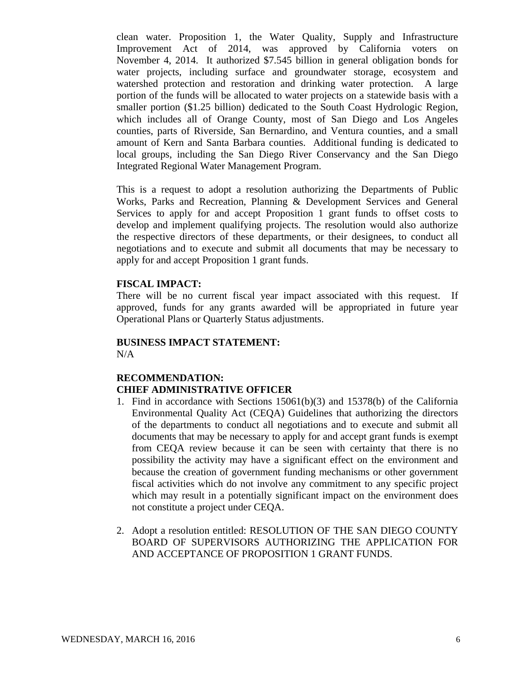clean water. Proposition 1, the Water Quality, Supply and Infrastructure Improvement Act of 2014, was approved by California voters on November 4, 2014. It authorized \$7.545 billion in general obligation bonds for water projects, including surface and groundwater storage, ecosystem and watershed protection and restoration and drinking water protection. A large portion of the funds will be allocated to water projects on a statewide basis with a smaller portion (\$1.25 billion) dedicated to the South Coast Hydrologic Region, which includes all of Orange County, most of San Diego and Los Angeles counties, parts of Riverside, San Bernardino, and Ventura counties, and a small amount of Kern and Santa Barbara counties. Additional funding is dedicated to local groups, including the San Diego River Conservancy and the San Diego Integrated Regional Water Management Program.

This is a request to adopt a resolution authorizing the Departments of Public Works, Parks and Recreation, Planning & Development Services and General Services to apply for and accept Proposition 1 grant funds to offset costs to develop and implement qualifying projects. The resolution would also authorize the respective directors of these departments, or their designees, to conduct all negotiations and to execute and submit all documents that may be necessary to apply for and accept Proposition 1 grant funds.

## **FISCAL IMPACT:**

There will be no current fiscal year impact associated with this request. If approved, funds for any grants awarded will be appropriated in future year Operational Plans or Quarterly Status adjustments.

## **BUSINESS IMPACT STATEMENT:**  $N/A$

# **RECOMMENDATION: CHIEF ADMINISTRATIVE OFFICER**

- 1. Find in accordance with Sections 15061(b)(3) and 15378(b) of the California Environmental Quality Act (CEQA) Guidelines that authorizing the directors of the departments to conduct all negotiations and to execute and submit all documents that may be necessary to apply for and accept grant funds is exempt from CEQA review because it can be seen with certainty that there is no possibility the activity may have a significant effect on the environment and because the creation of government funding mechanisms or other government fiscal activities which do not involve any commitment to any specific project which may result in a potentially significant impact on the environment does not constitute a project under CEQA.
- 2. Adopt a resolution entitled: RESOLUTION OF THE SAN DIEGO COUNTY BOARD OF SUPERVISORS AUTHORIZING THE APPLICATION FOR AND ACCEPTANCE OF PROPOSITION 1 GRANT FUNDS.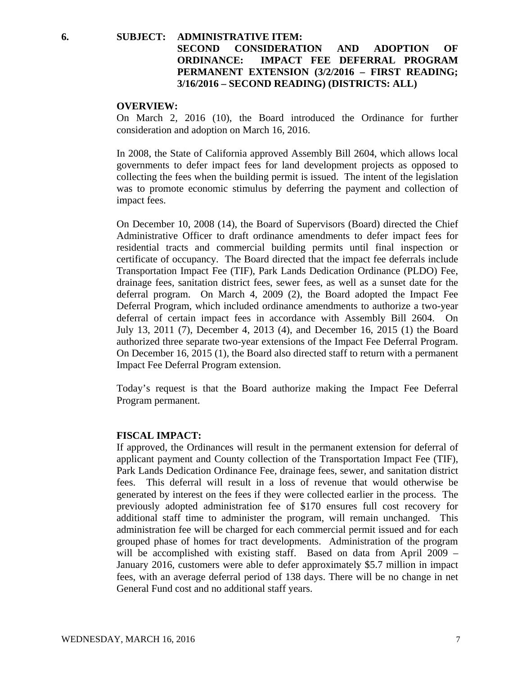# **6. SUBJECT: ADMINISTRATIVE ITEM: SECOND CONSIDERATION AND ADOPTION OF ORDINANCE: IMPACT FEE DEFERRAL PROGRAM PERMANENT EXTENSION (3/2/2016 – FIRST READING; 3/16/2016 – SECOND READING) (DISTRICTS: ALL)**

#### **OVERVIEW:**

On March 2, 2016 (10), the Board introduced the Ordinance for further consideration and adoption on March 16, 2016.

In 2008, the State of California approved Assembly Bill 2604, which allows local governments to defer impact fees for land development projects as opposed to collecting the fees when the building permit is issued. The intent of the legislation was to promote economic stimulus by deferring the payment and collection of impact fees.

On December 10, 2008 (14), the Board of Supervisors (Board) directed the Chief Administrative Officer to draft ordinance amendments to defer impact fees for residential tracts and commercial building permits until final inspection or certificate of occupancy. The Board directed that the impact fee deferrals include Transportation Impact Fee (TIF), Park Lands Dedication Ordinance (PLDO) Fee, drainage fees, sanitation district fees, sewer fees, as well as a sunset date for the deferral program. On March 4, 2009 (2), the Board adopted the Impact Fee Deferral Program, which included ordinance amendments to authorize a two-year deferral of certain impact fees in accordance with Assembly Bill 2604. On July 13, 2011 (7), December 4, 2013 (4), and December 16, 2015 (1) the Board authorized three separate two-year extensions of the Impact Fee Deferral Program. On December 16, 2015 (1), the Board also directed staff to return with a permanent Impact Fee Deferral Program extension.

Today's request is that the Board authorize making the Impact Fee Deferral Program permanent.

### **FISCAL IMPACT:**

If approved, the Ordinances will result in the permanent extension for deferral of applicant payment and County collection of the Transportation Impact Fee (TIF), Park Lands Dedication Ordinance Fee, drainage fees, sewer, and sanitation district fees. This deferral will result in a loss of revenue that would otherwise be generated by interest on the fees if they were collected earlier in the process. The previously adopted administration fee of \$170 ensures full cost recovery for additional staff time to administer the program, will remain unchanged. This administration fee will be charged for each commercial permit issued and for each grouped phase of homes for tract developments. Administration of the program will be accomplished with existing staff. Based on data from April 2009 – January 2016, customers were able to defer approximately \$5.7 million in impact fees, with an average deferral period of 138 days. There will be no change in net General Fund cost and no additional staff years.